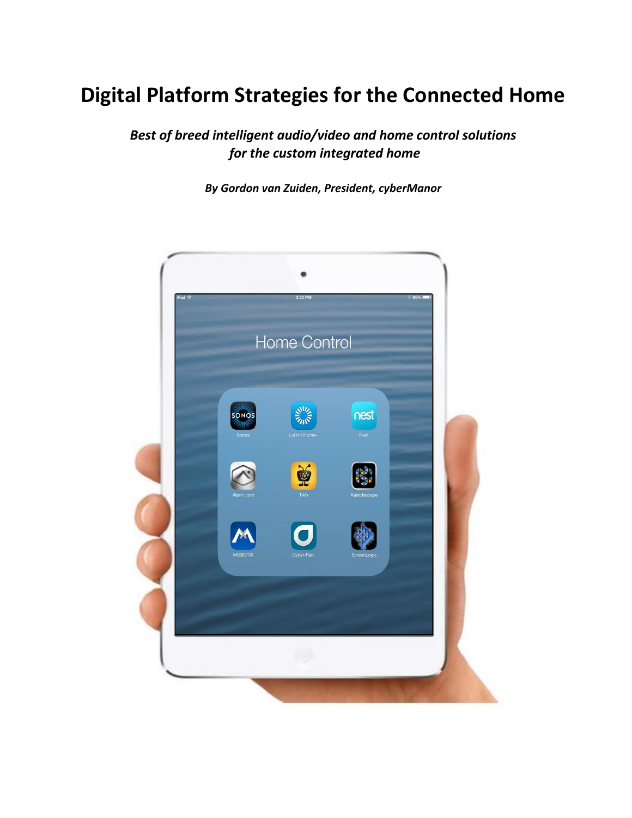# **Digital Platform Strategies for the Connected Home**

*Best of breed intelligent audio/video and home control solutions for the custom integrated home*

*By Gordon van Zuiden, President, cyberManor*

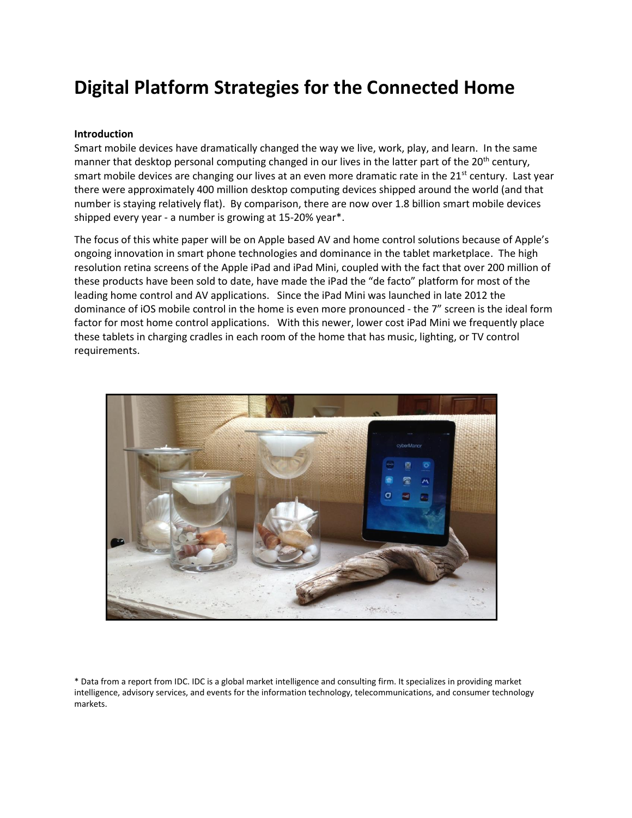## **Digital Platform Strategies for the Connected Home**

#### **Introduction**

Smart mobile devices have dramatically changed the way we live, work, play, and learn. In the same manner that desktop personal computing changed in our lives in the latter part of the 20<sup>th</sup> century, smart mobile devices are changing our lives at an even more dramatic rate in the 21<sup>st</sup> century. Last year there were approximately 400 million desktop computing devices shipped around the world (and that number is staying relatively flat). By comparison, there are now over 1.8 billion smart mobile devices shipped every year - a number is growing at 15-20% year\*.

The focus of this white paper will be on Apple based AV and home control solutions because of Apple's ongoing innovation in smart phone technologies and dominance in the tablet marketplace. The high resolution retina screens of the Apple iPad and iPad Mini, coupled with the fact that over 200 million of these products have been sold to date, have made the iPad the "de facto" platform for most of the leading home control and AV applications. Since the iPad Mini was launched in late 2012 the dominance of iOS mobile control in the home is even more pronounced - the 7" screen is the ideal form factor for most home control applications. With this newer, lower cost iPad Mini we frequently place these tablets in charging cradles in each room of the home that has music, lighting, or TV control requirements.



\* Data from a report from IDC. IDC is a global market intelligence and consulting firm. It specializes in providing market intelligence, advisory services, and events for the information technology, telecommunications, and consumer technology markets.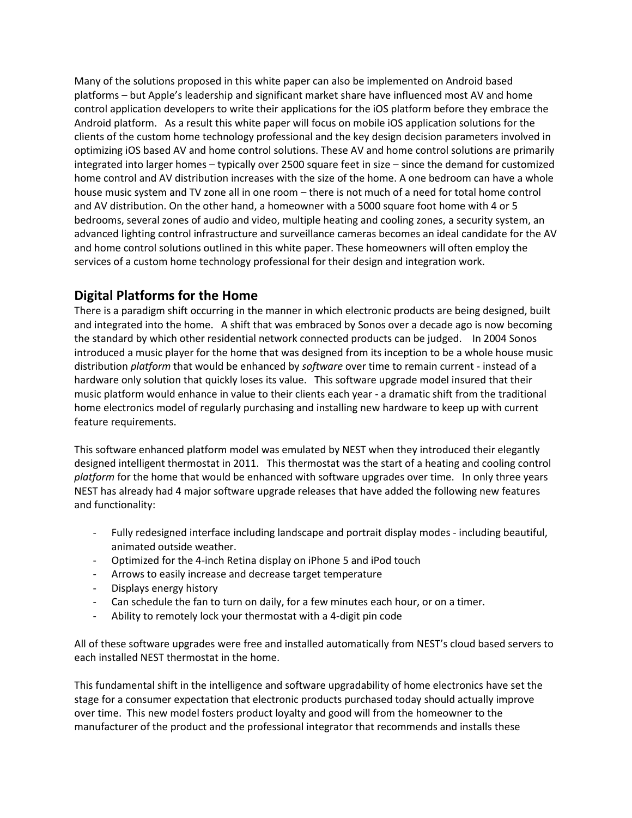Many of the solutions proposed in this white paper can also be implemented on Android based platforms – but Apple's leadership and significant market share have influenced most AV and home control application developers to write their applications for the iOS platform before they embrace the Android platform. As a result this white paper will focus on mobile iOS application solutions for the clients of the custom home technology professional and the key design decision parameters involved in optimizing iOS based AV and home control solutions. These AV and home control solutions are primarily integrated into larger homes – typically over 2500 square feet in size – since the demand for customized home control and AV distribution increases with the size of the home. A one bedroom can have a whole house music system and TV zone all in one room – there is not much of a need for total home control and AV distribution. On the other hand, a homeowner with a 5000 square foot home with 4 or 5 bedrooms, several zones of audio and video, multiple heating and cooling zones, a security system, an advanced lighting control infrastructure and surveillance cameras becomes an ideal candidate for the AV and home control solutions outlined in this white paper. These homeowners will often employ the services of a custom home technology professional for their design and integration work.

### **Digital Platforms for the Home**

There is a paradigm shift occurring in the manner in which electronic products are being designed, built and integrated into the home. A shift that was embraced by Sonos over a decade ago is now becoming the standard by which other residential network connected products can be judged. In 2004 Sonos introduced a music player for the home that was designed from its inception to be a whole house music distribution *platform* that would be enhanced by *software* over time to remain current - instead of a hardware only solution that quickly loses its value. This software upgrade model insured that their music platform would enhance in value to their clients each year - a dramatic shift from the traditional home electronics model of regularly purchasing and installing new hardware to keep up with current feature requirements.

This software enhanced platform model was emulated by NEST when they introduced their elegantly designed intelligent thermostat in 2011. This thermostat was the start of a heating and cooling control *platform* for the home that would be enhanced with software upgrades over time. In only three years NEST has already had 4 major software upgrade releases that have added the following new features and functionality:

- Fully redesigned interface including landscape and portrait display modes including beautiful, animated outside weather.
- Optimized for the 4-inch Retina display on iPhone 5 and iPod touch
- Arrows to easily increase and decrease target temperature
- Displays energy history
- Can schedule the fan to turn on daily, for a few minutes each hour, or on a timer.
- Ability to remotely lock your thermostat with a 4-digit pin code

All of these software upgrades were free and installed automatically from NEST's cloud based servers to each installed NEST thermostat in the home.

This fundamental shift in the intelligence and software upgradability of home electronics have set the stage for a consumer expectation that electronic products purchased today should actually improve over time. This new model fosters product loyalty and good will from the homeowner to the manufacturer of the product and the professional integrator that recommends and installs these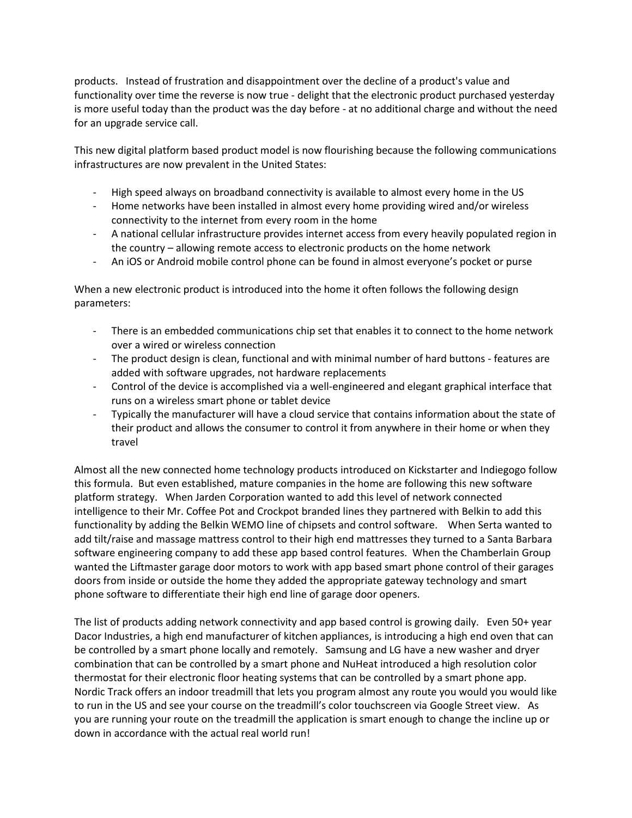products. Instead of frustration and disappointment over the decline of a product's value and functionality over time the reverse is now true - delight that the electronic product purchased yesterday is more useful today than the product was the day before - at no additional charge and without the need for an upgrade service call.

This new digital platform based product model is now flourishing because the following communications infrastructures are now prevalent in the United States:

- High speed always on broadband connectivity is available to almost every home in the US
- Home networks have been installed in almost every home providing wired and/or wireless connectivity to the internet from every room in the home
- A national cellular infrastructure provides internet access from every heavily populated region in the country – allowing remote access to electronic products on the home network
- An iOS or Android mobile control phone can be found in almost everyone's pocket or purse

When a new electronic product is introduced into the home it often follows the following design parameters:

- There is an embedded communications chip set that enables it to connect to the home network over a wired or wireless connection
- The product design is clean, functional and with minimal number of hard buttons features are added with software upgrades, not hardware replacements
- Control of the device is accomplished via a well-engineered and elegant graphical interface that runs on a wireless smart phone or tablet device
- Typically the manufacturer will have a cloud service that contains information about the state of their product and allows the consumer to control it from anywhere in their home or when they travel

Almost all the new connected home technology products introduced on Kickstarter and Indiegogo follow this formula. But even established, mature companies in the home are following this new software platform strategy. When Jarden Corporation wanted to add this level of network connected intelligence to their Mr. Coffee Pot and Crockpot branded lines they partnered with Belkin to add this functionality by adding the Belkin WEMO line of chipsets and control software. When Serta wanted to add tilt/raise and massage mattress control to their high end mattresses they turned to a Santa Barbara software engineering company to add these app based control features. When the Chamberlain Group wanted the Liftmaster garage door motors to work with app based smart phone control of their garages doors from inside or outside the home they added the appropriate gateway technology and smart phone software to differentiate their high end line of garage door openers.

The list of products adding network connectivity and app based control is growing daily. Even 50+ year Dacor Industries, a high end manufacturer of kitchen appliances, is introducing a high end oven that can be controlled by a smart phone locally and remotely. Samsung and LG have a new washer and dryer combination that can be controlled by a smart phone and NuHeat introduced a high resolution color thermostat for their electronic floor heating systems that can be controlled by a smart phone app. Nordic Track offers an indoor treadmill that lets you program almost any route you would you would like to run in the US and see your course on the treadmill's color touchscreen via Google Street view. As you are running your route on the treadmill the application is smart enough to change the incline up or down in accordance with the actual real world run!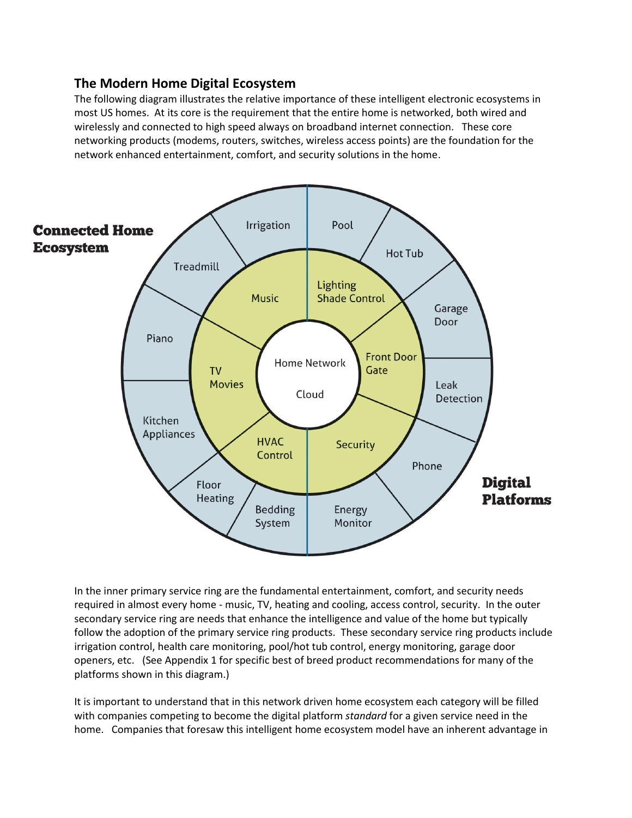#### **The Modern Home Digital Ecosystem**

The following diagram illustrates the relative importance of these intelligent electronic ecosystems in most US homes. At its core is the requirement that the entire home is networked, both wired and wirelessly and connected to high speed always on broadband internet connection. These core networking products (modems, routers, switches, wireless access points) are the foundation for the network enhanced entertainment, comfort, and security solutions in the home.



In the inner primary service ring are the fundamental entertainment, comfort, and security needs required in almost every home - music, TV, heating and cooling, access control, security. In the outer secondary service ring are needs that enhance the intelligence and value of the home but typically follow the adoption of the primary service ring products. These secondary service ring products include irrigation control, health care monitoring, pool/hot tub control, energy monitoring, garage door openers, etc. (See Appendix 1 for specific best of breed product recommendations for many of the platforms shown in this diagram.)

It is important to understand that in this network driven home ecosystem each category will be filled with companies competing to become the digital platform *standard* for a given service need in the home. Companies that foresaw this intelligent home ecosystem model have an inherent advantage in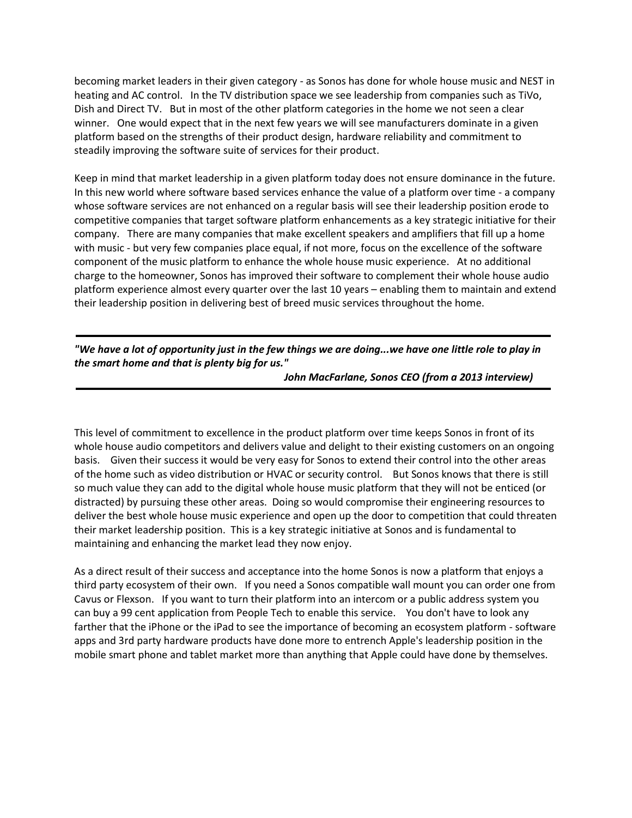becoming market leaders in their given category - as Sonos has done for whole house music and NEST in heating and AC control. In the TV distribution space we see leadership from companies such as TiVo, Dish and Direct TV. But in most of the other platform categories in the home we not seen a clear winner. One would expect that in the next few years we will see manufacturers dominate in a given platform based on the strengths of their product design, hardware reliability and commitment to steadily improving the software suite of services for their product.

Keep in mind that market leadership in a given platform today does not ensure dominance in the future. In this new world where software based services enhance the value of a platform over time - a company whose software services are not enhanced on a regular basis will see their leadership position erode to competitive companies that target software platform enhancements as a key strategic initiative for their company. There are many companies that make excellent speakers and amplifiers that fill up a home with music - but very few companies place equal, if not more, focus on the excellence of the software component of the music platform to enhance the whole house music experience. At no additional charge to the homeowner, Sonos has improved their software to complement their whole house audio platform experience almost every quarter over the last 10 years – enabling them to maintain and extend their leadership position in delivering best of breed music services throughout the home.

#### *"We have a lot of opportunity just in the few things we are doing...we have one little role to play in the smart home and that is plenty big for us."*

*John MacFarlane, Sonos CEO (from a 2013 interview)*

This level of commitment to excellence in the product platform over time keeps Sonos in front of its whole house audio competitors and delivers value and delight to their existing customers on an ongoing basis. Given their success it would be very easy for Sonos to extend their control into the other areas of the home such as video distribution or HVAC or security control. But Sonos knows that there is still so much value they can add to the digital whole house music platform that they will not be enticed (or distracted) by pursuing these other areas. Doing so would compromise their engineering resources to deliver the best whole house music experience and open up the door to competition that could threaten their market leadership position. This is a key strategic initiative at Sonos and is fundamental to maintaining and enhancing the market lead they now enjoy.

As a direct result of their success and acceptance into the home Sonos is now a platform that enjoys a third party ecosystem of their own. If you need a Sonos compatible wall mount you can order one from Cavus or Flexson. If you want to turn their platform into an intercom or a public address system you can buy a 99 cent application from People Tech to enable this service. You don't have to look any farther that the iPhone or the iPad to see the importance of becoming an ecosystem platform - software apps and 3rd party hardware products have done more to entrench Apple's leadership position in the mobile smart phone and tablet market more than anything that Apple could have done by themselves.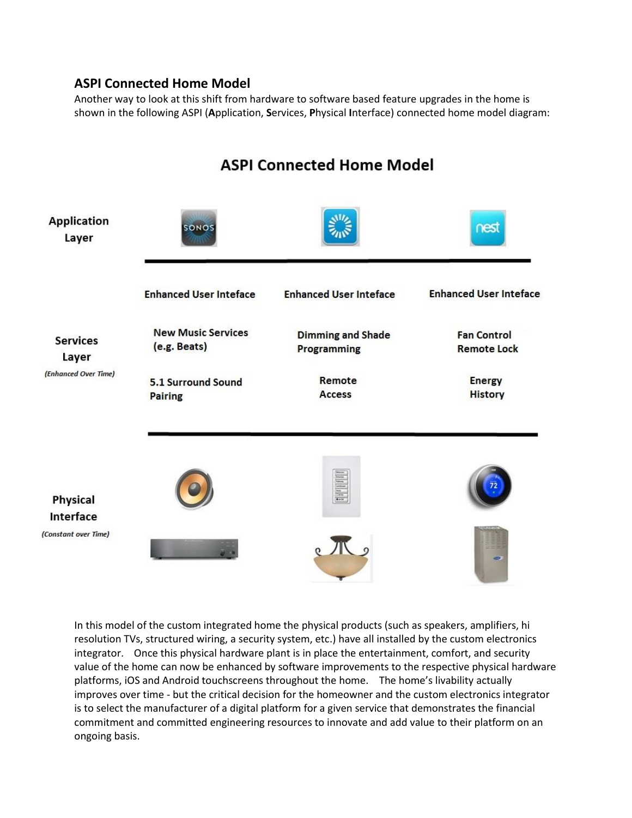#### **ASPI Connected Home Model**

Another way to look at this shift from hardware to software based feature upgrades in the home is shown in the following ASPI (**A**pplication, **S**ervices, **P**hysical **I**nterface) connected home model diagram:



In this model of the custom integrated home the physical products (such as speakers, amplifiers, hi resolution TVs, structured wiring, a security system, etc.) have all installed by the custom electronics integrator. Once this physical hardware plant is in place the entertainment, comfort, and security value of the home can now be enhanced by software improvements to the respective physical hardware platforms, iOS and Android touchscreens throughout the home. The home's livability actually improves over time - but the critical decision for the homeowner and the custom electronics integrator is to select the manufacturer of a digital platform for a given service that demonstrates the financial commitment and committed engineering resources to innovate and add value to their platform on an ongoing basis.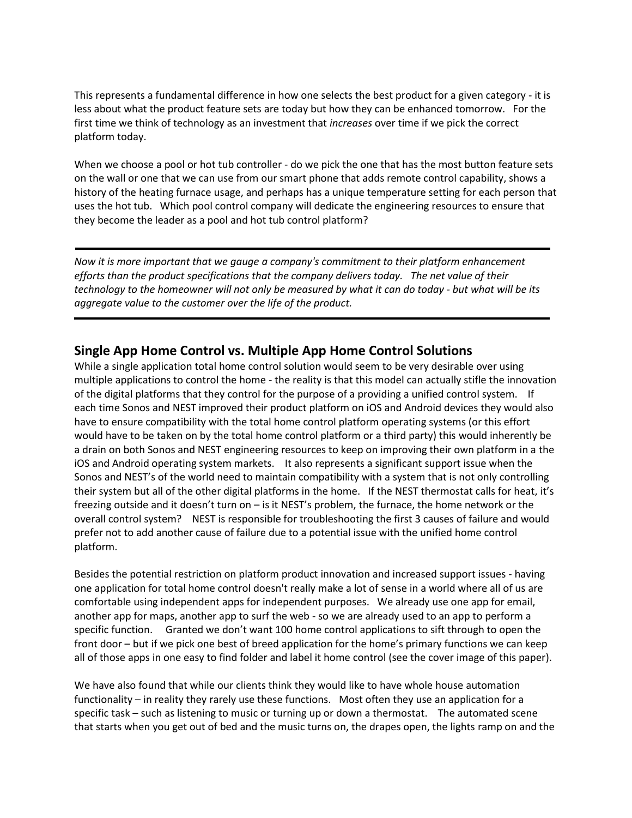This represents a fundamental difference in how one selects the best product for a given category - it is less about what the product feature sets are today but how they can be enhanced tomorrow. For the first time we think of technology as an investment that *increases* over time if we pick the correct platform today.

When we choose a pool or hot tub controller - do we pick the one that has the most button feature sets on the wall or one that we can use from our smart phone that adds remote control capability, shows a history of the heating furnace usage, and perhaps has a unique temperature setting for each person that uses the hot tub. Which pool control company will dedicate the engineering resources to ensure that they become the leader as a pool and hot tub control platform?

*Now it is more important that we gauge a company's commitment to their platform enhancement efforts than the product specifications that the company delivers today. The net value of their technology to the homeowner will not only be measured by what it can do today - but what will be its aggregate value to the customer over the life of the product.*

#### **Single App Home Control vs. Multiple App Home Control Solutions**

While a single application total home control solution would seem to be very desirable over using multiple applications to control the home - the reality is that this model can actually stifle the innovation of the digital platforms that they control for the purpose of a providing a unified control system. If each time Sonos and NEST improved their product platform on iOS and Android devices they would also have to ensure compatibility with the total home control platform operating systems (or this effort would have to be taken on by the total home control platform or a third party) this would inherently be a drain on both Sonos and NEST engineering resources to keep on improving their own platform in a the iOS and Android operating system markets. It also represents a significant support issue when the Sonos and NEST's of the world need to maintain compatibility with a system that is not only controlling their system but all of the other digital platforms in the home. If the NEST thermostat calls for heat, it's freezing outside and it doesn't turn on – is it NEST's problem, the furnace, the home network or the overall control system? NEST is responsible for troubleshooting the first 3 causes of failure and would prefer not to add another cause of failure due to a potential issue with the unified home control platform.

Besides the potential restriction on platform product innovation and increased support issues - having one application for total home control doesn't really make a lot of sense in a world where all of us are comfortable using independent apps for independent purposes. We already use one app for email, another app for maps, another app to surf the web - so we are already used to an app to perform a specific function. Granted we don't want 100 home control applications to sift through to open the front door – but if we pick one best of breed application for the home's primary functions we can keep all of those apps in one easy to find folder and label it home control (see the cover image of this paper).

We have also found that while our clients think they would like to have whole house automation functionality – in reality they rarely use these functions. Most often they use an application for a specific task – such as listening to music or turning up or down a thermostat. The automated scene that starts when you get out of bed and the music turns on, the drapes open, the lights ramp on and the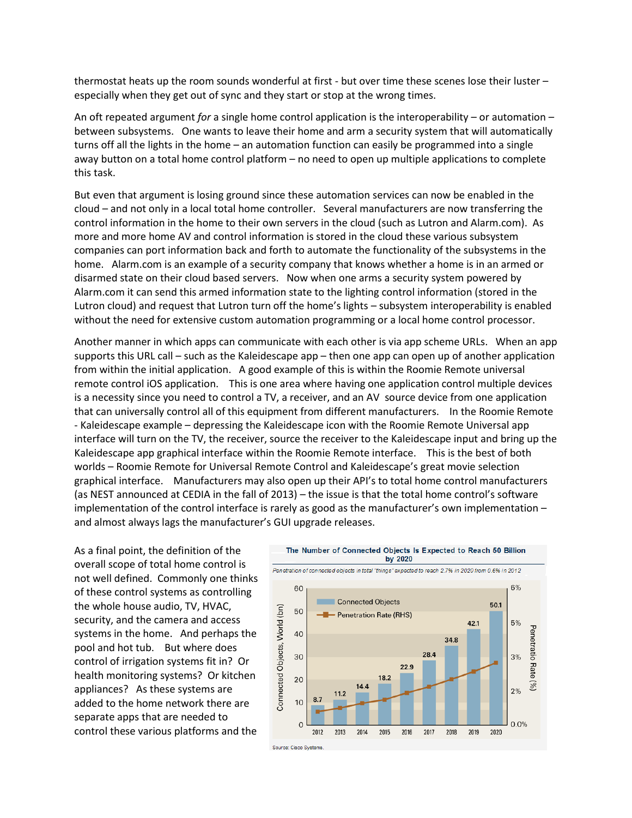thermostat heats up the room sounds wonderful at first - but over time these scenes lose their luster – especially when they get out of sync and they start or stop at the wrong times.

An oft repeated argument *for* a single home control application is the interoperability – or automation – between subsystems. One wants to leave their home and arm a security system that will automatically turns off all the lights in the home – an automation function can easily be programmed into a single away button on a total home control platform – no need to open up multiple applications to complete this task.

But even that argument is losing ground since these automation services can now be enabled in the cloud – and not only in a local total home controller. Several manufacturers are now transferring the control information in the home to their own servers in the cloud (such as Lutron and Alarm.com). As more and more home AV and control information is stored in the cloud these various subsystem companies can port information back and forth to automate the functionality of the subsystems in the home. Alarm.com is an example of a security company that knows whether a home is in an armed or disarmed state on their cloud based servers. Now when one arms a security system powered by Alarm.com it can send this armed information state to the lighting control information (stored in the Lutron cloud) and request that Lutron turn off the home's lights – subsystem interoperability is enabled without the need for extensive custom automation programming or a local home control processor.

Another manner in which apps can communicate with each other is via app scheme URLs. When an app supports this URL call – such as the Kaleidescape app – then one app can open up of another application from within the initial application. A good example of this is within the Roomie Remote universal remote control iOS application. This is one area where having one application control multiple devices is a necessity since you need to control a TV, a receiver, and an AV source device from one application that can universally control all of this equipment from different manufacturers. In the Roomie Remote - Kaleidescape example – depressing the Kaleidescape icon with the Roomie Remote Universal app interface will turn on the TV, the receiver, source the receiver to the Kaleidescape input and bring up the Kaleidescape app graphical interface within the Roomie Remote interface. This is the best of both worlds – Roomie Remote for Universal Remote Control and Kaleidescape's great movie selection graphical interface. Manufacturers may also open up their API's to total home control manufacturers (as NEST announced at CEDIA in the fall of 2013) – the issue is that the total home control's software implementation of the control interface is rarely as good as the manufacturer's own implementation – and almost always lags the manufacturer's GUI upgrade releases.

As a final point, the definition of the overall scope of total home control is not well defined. Commonly one thinks of these control systems as controlling the whole house audio, TV, HVAC, security, and the camera and access systems in the home. And perhaps the pool and hot tub. But where does control of irrigation systems fit in? Or health monitoring systems? Or kitchen appliances? As these systems are added to the home network there are separate apps that are needed to control these various platforms and the

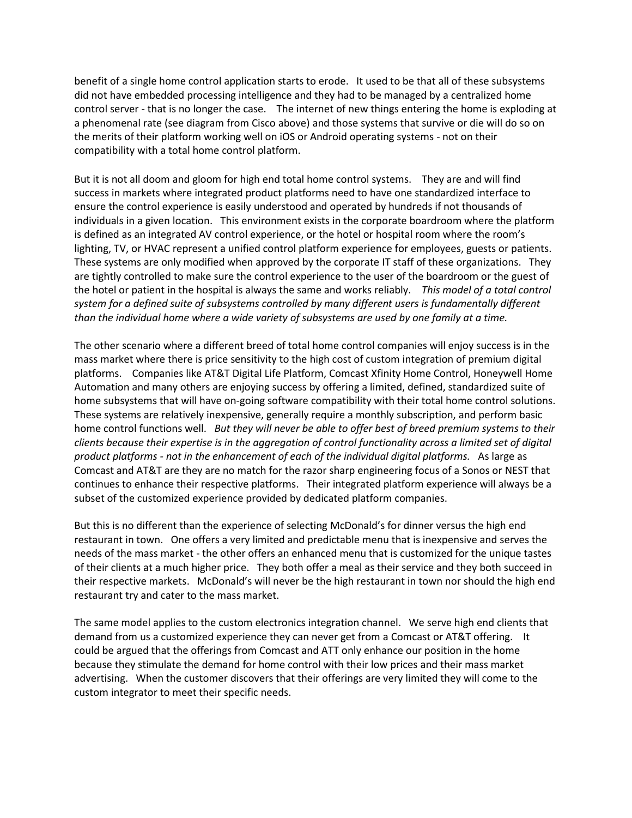benefit of a single home control application starts to erode. It used to be that all of these subsystems did not have embedded processing intelligence and they had to be managed by a centralized home control server - that is no longer the case. The internet of new things entering the home is exploding at a phenomenal rate (see diagram from Cisco above) and those systems that survive or die will do so on the merits of their platform working well on iOS or Android operating systems - not on their compatibility with a total home control platform.

But it is not all doom and gloom for high end total home control systems. They are and will find success in markets where integrated product platforms need to have one standardized interface to ensure the control experience is easily understood and operated by hundreds if not thousands of individuals in a given location. This environment exists in the corporate boardroom where the platform is defined as an integrated AV control experience, or the hotel or hospital room where the room's lighting, TV, or HVAC represent a unified control platform experience for employees, guests or patients. These systems are only modified when approved by the corporate IT staff of these organizations. They are tightly controlled to make sure the control experience to the user of the boardroom or the guest of the hotel or patient in the hospital is always the same and works reliably. *This model of a total control system for a defined suite of subsystems controlled by many different users is fundamentally different than the individual home where a wide variety of subsystems are used by one family at a time.*

The other scenario where a different breed of total home control companies will enjoy success is in the mass market where there is price sensitivity to the high cost of custom integration of premium digital platforms. Companies like AT&T Digital Life Platform, Comcast Xfinity Home Control, Honeywell Home Automation and many others are enjoying success by offering a limited, defined, standardized suite of home subsystems that will have on-going software compatibility with their total home control solutions. These systems are relatively inexpensive, generally require a monthly subscription, and perform basic home control functions well. *But they will never be able to offer best of breed premium systems to their clients because their expertise is in the aggregation of control functionality across a limited set of digital product platforms - not in the enhancement of each of the individual digital platforms.* As large as Comcast and AT&T are they are no match for the razor sharp engineering focus of a Sonos or NEST that continues to enhance their respective platforms. Their integrated platform experience will always be a subset of the customized experience provided by dedicated platform companies.

But this is no different than the experience of selecting McDonald's for dinner versus the high end restaurant in town. One offers a very limited and predictable menu that is inexpensive and serves the needs of the mass market - the other offers an enhanced menu that is customized for the unique tastes of their clients at a much higher price. They both offer a meal as their service and they both succeed in their respective markets. McDonald's will never be the high restaurant in town nor should the high end restaurant try and cater to the mass market.

The same model applies to the custom electronics integration channel. We serve high end clients that demand from us a customized experience they can never get from a Comcast or AT&T offering. It could be argued that the offerings from Comcast and ATT only enhance our position in the home because they stimulate the demand for home control with their low prices and their mass market advertising. When the customer discovers that their offerings are very limited they will come to the custom integrator to meet their specific needs.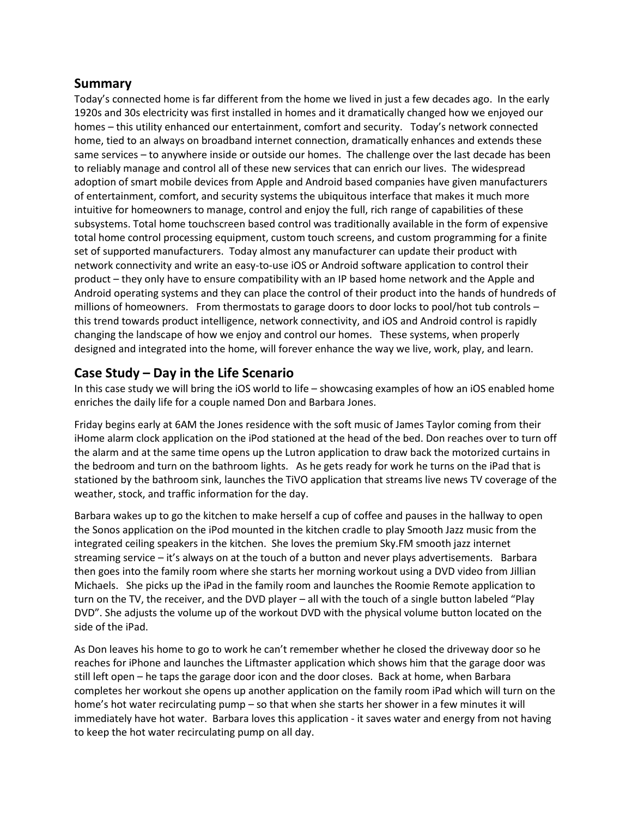#### **Summary**

Today's connected home is far different from the home we lived in just a few decades ago. In the early 1920s and 30s electricity was first installed in homes and it dramatically changed how we enjoyed our homes – this utility enhanced our entertainment, comfort and security. Today's network connected home, tied to an always on broadband internet connection, dramatically enhances and extends these same services – to anywhere inside or outside our homes. The challenge over the last decade has been to reliably manage and control all of these new services that can enrich our lives. The widespread adoption of smart mobile devices from Apple and Android based companies have given manufacturers of entertainment, comfort, and security systems the ubiquitous interface that makes it much more intuitive for homeowners to manage, control and enjoy the full, rich range of capabilities of these subsystems. Total home touchscreen based control was traditionally available in the form of expensive total home control processing equipment, custom touch screens, and custom programming for a finite set of supported manufacturers. Today almost any manufacturer can update their product with network connectivity and write an easy-to-use iOS or Android software application to control their product – they only have to ensure compatibility with an IP based home network and the Apple and Android operating systems and they can place the control of their product into the hands of hundreds of millions of homeowners. From thermostats to garage doors to door locks to pool/hot tub controls – this trend towards product intelligence, network connectivity, and iOS and Android control is rapidly changing the landscape of how we enjoy and control our homes. These systems, when properly designed and integrated into the home, will forever enhance the way we live, work, play, and learn.

### **Case Study – Day in the Life Scenario**

In this case study we will bring the iOS world to life – showcasing examples of how an iOS enabled home enriches the daily life for a couple named Don and Barbara Jones.

Friday begins early at 6AM the Jones residence with the soft music of James Taylor coming from their iHome alarm clock application on the iPod stationed at the head of the bed. Don reaches over to turn off the alarm and at the same time opens up the Lutron application to draw back the motorized curtains in the bedroom and turn on the bathroom lights. As he gets ready for work he turns on the iPad that is stationed by the bathroom sink, launches the TiVO application that streams live news TV coverage of the weather, stock, and traffic information for the day.

Barbara wakes up to go the kitchen to make herself a cup of coffee and pauses in the hallway to open the Sonos application on the iPod mounted in the kitchen cradle to play Smooth Jazz music from the integrated ceiling speakers in the kitchen. She loves the premium Sky.FM smooth jazz internet streaming service – it's always on at the touch of a button and never plays advertisements. Barbara then goes into the family room where she starts her morning workout using a DVD video from Jillian Michaels. She picks up the iPad in the family room and launches the Roomie Remote application to turn on the TV, the receiver, and the DVD player – all with the touch of a single button labeled "Play DVD". She adjusts the volume up of the workout DVD with the physical volume button located on the side of the iPad.

As Don leaves his home to go to work he can't remember whether he closed the driveway door so he reaches for iPhone and launches the Liftmaster application which shows him that the garage door was still left open – he taps the garage door icon and the door closes. Back at home, when Barbara completes her workout she opens up another application on the family room iPad which will turn on the home's hot water recirculating pump – so that when she starts her shower in a few minutes it will immediately have hot water. Barbara loves this application - it saves water and energy from not having to keep the hot water recirculating pump on all day.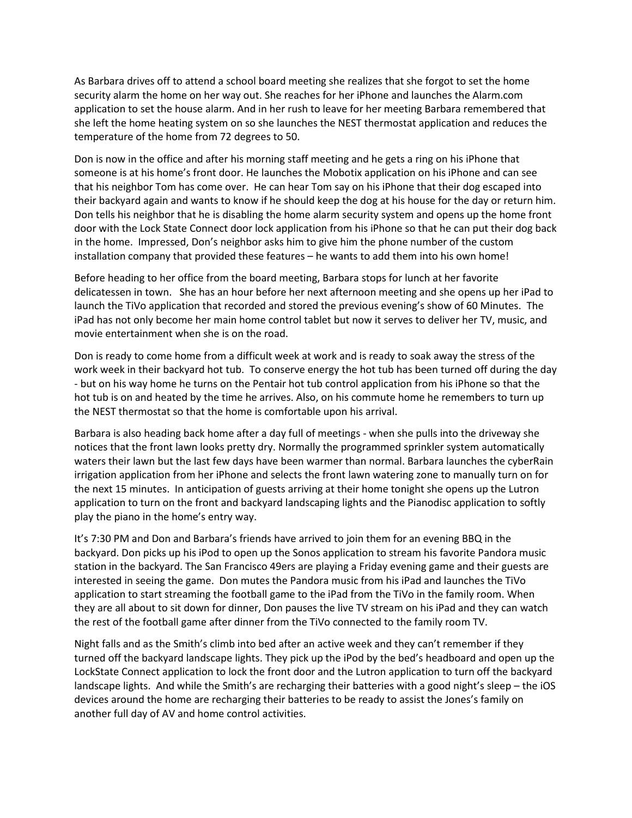As Barbara drives off to attend a school board meeting she realizes that she forgot to set the home security alarm the home on her way out. She reaches for her iPhone and launches the Alarm.com application to set the house alarm. And in her rush to leave for her meeting Barbara remembered that she left the home heating system on so she launches the NEST thermostat application and reduces the temperature of the home from 72 degrees to 50.

Don is now in the office and after his morning staff meeting and he gets a ring on his iPhone that someone is at his home's front door. He launches the Mobotix application on his iPhone and can see that his neighbor Tom has come over. He can hear Tom say on his iPhone that their dog escaped into their backyard again and wants to know if he should keep the dog at his house for the day or return him. Don tells his neighbor that he is disabling the home alarm security system and opens up the home front door with the Lock State Connect door lock application from his iPhone so that he can put their dog back in the home. Impressed, Don's neighbor asks him to give him the phone number of the custom installation company that provided these features – he wants to add them into his own home!

Before heading to her office from the board meeting, Barbara stops for lunch at her favorite delicatessen in town. She has an hour before her next afternoon meeting and she opens up her iPad to launch the TiVo application that recorded and stored the previous evening's show of 60 Minutes. The iPad has not only become her main home control tablet but now it serves to deliver her TV, music, and movie entertainment when she is on the road.

Don is ready to come home from a difficult week at work and is ready to soak away the stress of the work week in their backyard hot tub. To conserve energy the hot tub has been turned off during the day - but on his way home he turns on the Pentair hot tub control application from his iPhone so that the hot tub is on and heated by the time he arrives. Also, on his commute home he remembers to turn up the NEST thermostat so that the home is comfortable upon his arrival.

Barbara is also heading back home after a day full of meetings - when she pulls into the driveway she notices that the front lawn looks pretty dry. Normally the programmed sprinkler system automatically waters their lawn but the last few days have been warmer than normal. Barbara launches the cyberRain irrigation application from her iPhone and selects the front lawn watering zone to manually turn on for the next 15 minutes. In anticipation of guests arriving at their home tonight she opens up the Lutron application to turn on the front and backyard landscaping lights and the Pianodisc application to softly play the piano in the home's entry way.

It's 7:30 PM and Don and Barbara's friends have arrived to join them for an evening BBQ in the backyard. Don picks up his iPod to open up the Sonos application to stream his favorite Pandora music station in the backyard. The San Francisco 49ers are playing a Friday evening game and their guests are interested in seeing the game. Don mutes the Pandora music from his iPad and launches the TiVo application to start streaming the football game to the iPad from the TiVo in the family room. When they are all about to sit down for dinner, Don pauses the live TV stream on his iPad and they can watch the rest of the football game after dinner from the TiVo connected to the family room TV.

Night falls and as the Smith's climb into bed after an active week and they can't remember if they turned off the backyard landscape lights. They pick up the iPod by the bed's headboard and open up the LockState Connect application to lock the front door and the Lutron application to turn off the backyard landscape lights. And while the Smith's are recharging their batteries with a good night's sleep – the iOS devices around the home are recharging their batteries to be ready to assist the Jones's family on another full day of AV and home control activities.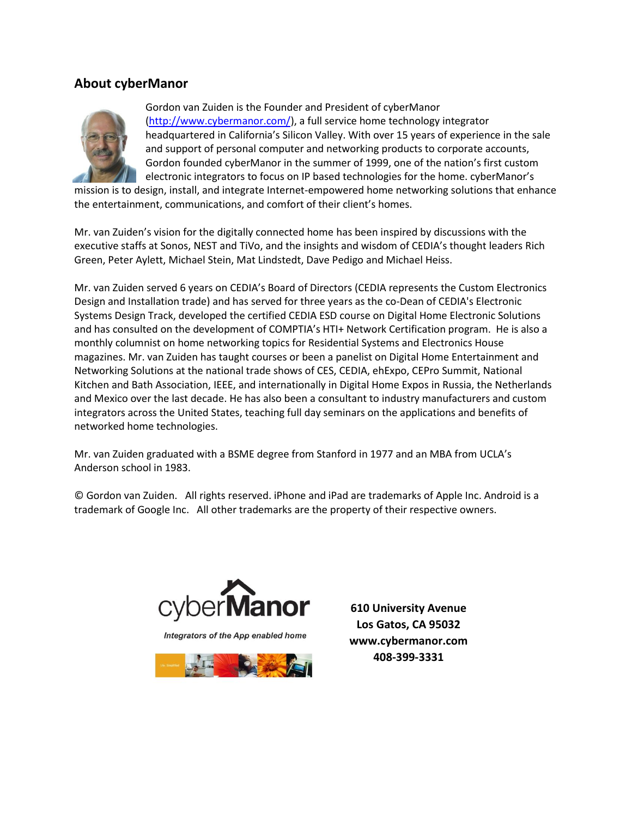#### **About cyberManor**



Gordon van Zuiden is the Founder and President of cyberManor [\(http://www.cybermanor.com/\)](http://www.cybermanor.com/), a full service home technology integrator headquartered in California's Silicon Valley. With over 15 years of experience in the sale and support of personal computer and networking products to corporate accounts, Gordon founded cyberManor in the summer of 1999, one of the nation's first custom electronic integrators to focus on IP based technologies for the home. cyberManor's

mission is to design, install, and integrate Internet-empowered home networking solutions that enhance the entertainment, communications, and comfort of their client's homes.

Mr. van Zuiden's vision for the digitally connected home has been inspired by discussions with the executive staffs at Sonos, NEST and TiVo, and the insights and wisdom of CEDIA's thought leaders Rich Green, Peter Aylett, Michael Stein, Mat Lindstedt, Dave Pedigo and Michael Heiss.

Mr. van Zuiden served 6 years on CEDIA's Board of Directors (CEDIA represents the Custom Electronics Design and Installation trade) and has served for three years as the co-Dean of CEDIA's Electronic Systems Design Track, developed the certified CEDIA ESD course on Digital Home Electronic Solutions and has consulted on the development of COMPTIA's HTI+ Network Certification program. He is also a monthly columnist on home networking topics for Residential Systems and Electronics House magazines. Mr. van Zuiden has taught courses or been a panelist on Digital Home Entertainment and Networking Solutions at the national trade shows of CES, CEDIA, ehExpo, CEPro Summit, National Kitchen and Bath Association, IEEE, and internationally in Digital Home Expos in Russia, the Netherlands and Mexico over the last decade. He has also been a consultant to industry manufacturers and custom integrators across the United States, teaching full day seminars on the applications and benefits of networked home technologies.

Mr. van Zuiden graduated with a BSME degree from Stanford in 1977 and an MBA from UCLA's Anderson school in 1983.

© Gordon van Zuiden. All rights reserved. iPhone and iPad are trademarks of Apple Inc. Android is a trademark of Google Inc. All other trademarks are the property of their respective owners.



Integrators of the App enabled home



**610 University Avenue Los Gatos, CA 95032 www.cybermanor.com 408-399-3331**